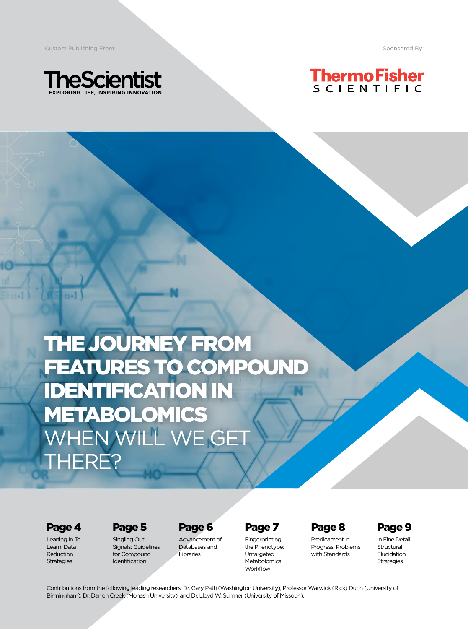**Custom Publishing From:** Sponsored By: Sponsored By: Sponsored By: Sponsored By: Sponsored By: Sponsored By: Sponsored By: Sponsored By: Sponsored By: Sponsored By: Sponsored By: Sponsored By: Sponsored By: Sponsored By:





THE JOURNEY FROM FEATURES TO COMPOUND IDENTIFICATION IN METABOLOMICS WHEN WILL WE GET THERE?

Page 4

Leaning In To Learn: Data Reduction **Strategies** 

Page 5 Singling Out Signals: Guidelines

for Compound Identification

Page 6 Advancement of Databases and Libraries

Page 7

Fingerprinting the Phenotype: **Untargeted** Metabolomics **Workflow** 

#### Page 8

Predicament in Progress: Problems with Standards

Page 9

In Fine Detail: **Structural** Elucidation Strategies

Contributions from the following leading researchers: Dr. Gary Patti (Washington University), Professor Warwick (Rick) Dunn (University of Birmingham), Dr. Darren Creek (Monash University), and Dr. Lloyd W. Sumner (University of Missouri).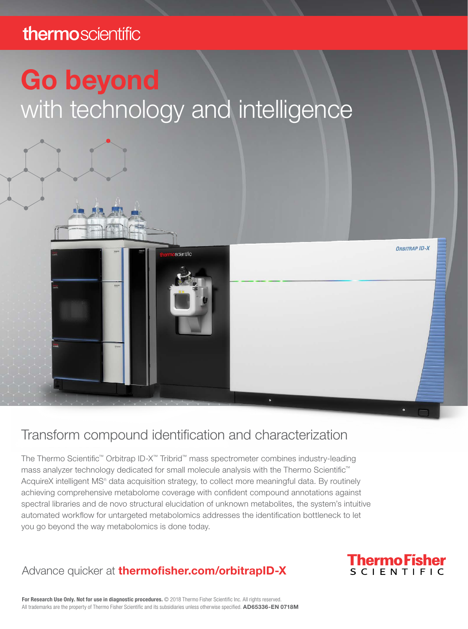### thermoscientific

# Go beyond with technology and intelligence



### Transform compound identification and characterization

The Thermo Scientific™ Orbitrap ID-X™ Tribrid™ mass spectrometer combines industry-leading mass analyzer technology dedicated for small molecule analysis with the Thermo Scientific™ AcquireX intelligent MS<sup>n</sup> data acquisition strategy, to collect more meaningful data. By routinely achieving comprehensive metabolome coverage with confident compound annotations against spectral libraries and de novo structural elucidation of unknown metabolites, the system's intuitive automated workflow for untargeted metabolomics addresses the identification bottleneck to let you go beyond the way metabolomics is done today.

### Advance quicker at **[thermofisher.com/orbitrapID-X](https://www.thermofisher.com/us/en/home/products-and-services/promotions/industrial/orbitrap-id-x.html)**



For Research Use Only. Not for use in diagnostic procedures. © 2018 Thermo Fisher Scientific Inc. All rights reserved. All trademarks are the property of Thermo Fisher Scientific and its subsidiaries unless otherwise specified. AD65336-EN 0718M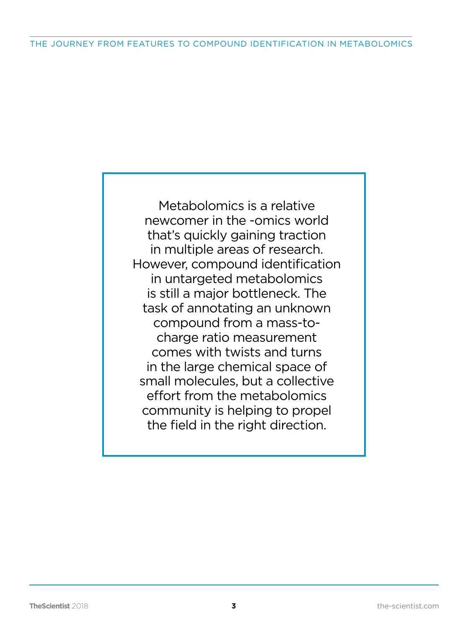Metabolomics is a relative newcomer in the -omics world that's quickly gaining traction in multiple areas of research. However, compound identification in untargeted metabolomics is still a major bottleneck. The task of annotating an unknown compound from a mass-tocharge ratio measurement comes with twists and turns in the large chemical space of small molecules, but a collective effort from the metabolomics community is helping to propel the field in the right direction.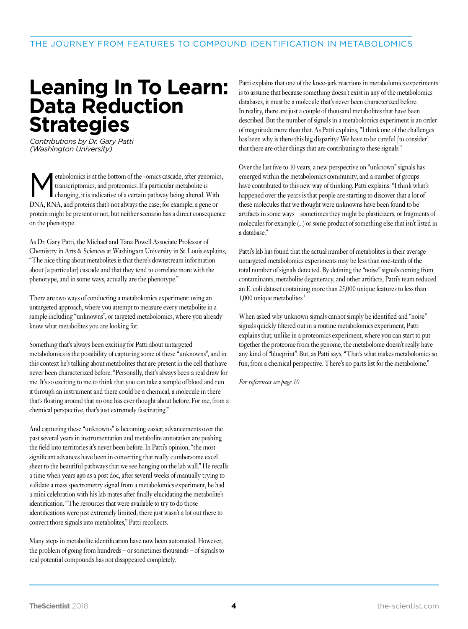### **Leaning In To Learn: Data Reduction Strategies**

*Contributions by Dr. Gary Patti (Washington University)*

Metabolomics is at the bottom of the -omics cascade, after genomics,<br>transcriptomics, and proteomics. If a particular metabolite is<br>changing, it is indicative of a certain pathway being altered. With transcriptomics, and proteomics. If a particular metabolite is changing, it is indicative of a certain pathway being altered. With DNA, RNA, and proteins that's not always the case; for example, a gene or protein might be present or not, but neither scenario has a direct consequence on the phenotype.

As Dr. Gary Patti, the Michael and Tana Powell Associate Professor of Chemistry in Arts & Sciences at Washington University in St. Louis explains, "The nice thing about metabolites is that there's downstream information about [a particular] cascade and that they tend to correlate more with the phenotype, and in some ways, actually are the phenotype."

There are two ways of conducting a metabolomics experiment: using an untargeted approach, where you attempt to measure every metabolite in a sample including "unknowns", or targeted metabolomics, where you already know what metabolites you are looking for.

Something that's always been exciting for Patti about untargeted metabolomics is the possibility of capturing some of these "unknowns", and in this context he's talking about metabolites that are present in the cell that have never been characterized before. "Personally, that's always been a real draw for me. It's so exciting to me to think that you can take a sample of blood and run it through an instrument and there could be a chemical, a molecule in there that's floating around that no one has ever thought about before. For me, from a chemical perspective, that's just extremely fascinating."

And capturing these "unknowns" is becoming easier; advancements over the past several years in instrumentation and metabolite annotation are pushing the field into territories it's never been before. In Patti's opinion, "the most significant advances have been in converting that really cumbersome excel sheet to the beautiful pathways that we see hanging on the lab wall." He recalls a time when years ago as a post doc, after several weeks of manually trying to validate a mass spectrometry signal from a metabolomics experiment, he had a mini celebration with his lab mates after finally elucidating the metabolite's identification. "The resources that were available to try to do those identifications were just extremely limited, there just wasn't a lot out there to convert those signals into metabolites," Patti recollects.

Many steps in metabolite identification have now been automated. However, the problem of going from hundreds – or sometimes thousands – of signals to real potential compounds has not disappeared completely.

Patti explains that one of the knee-jerk reactions in metabolomics experiments is to assume that because something doesn't exist in any of the metabolomics databases, it must be a molecule that's never been characterized before. In reality, there are just a couple of thousand metabolites that have been described. But the number of signals in a metabolomics experiment is an order of magnitude more than that. As Patti explains, "I think one of the challenges has been why is there this big disparity? We have to be careful [to consider] that there are other things that are contributing to these signals."

Over the last five to 10 years, a new perspective on "unknown" signals has emerged within the metabolomics community, and a number of groups have contributed to this new way of thinking. Patti explains: "I think what's happened over the years is that people are starting to discover that a lot of these molecules that we thought were unknowns have been found to be artifacts in some ways – sometimes they might be plasticizers, or fragments of molecules for example (...) or some product of something else that isn't listed in a database."

Patti's lab has found that the actual number of metabolites in their average untargeted metabolomics experiments may be less than one-tenth of the total number of signals detected. By defining the "noise" signals coming from contaminants, metabolite degeneracy, and other artifacts, Patti's team reduced an E. coli dataset containing more than 25,000 unique features to less than 1,000 unique metabolites.<sup>1</sup>

When asked why unknown signals cannot simply be identified and "noise" signals quickly filtered out in a routine metabolomics experiment, Patti explains that, unlike in a proteomics experiment, where you can start to put together the proteome from the genome, the metabolome doesn't really have any kind of "blueprint". But, as Patti says, "That's what makes metabolomics so fun, from a chemical perspective. There's no parts list for the metabolome."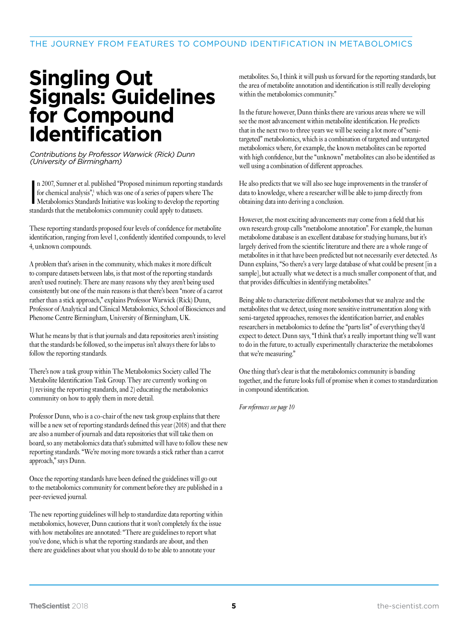## **Singling Out Signals: Guidelines for Compound Identification**

*Contributions by Professor Warwick (Rick) Dunn (University of Birmingham)*

n 2007, Sumner et al. published "Proposed minimum reporting standards for chemical analysis", which was one of a series of papers where The Metabolomics Standards Initiative was looking to develop the reporting n 2007, Sumner et al. published "Proposed minimum reporting standards for chemical analysis", which was one of a series of papers where The standards that the metabolomics community could apply to datasets.

These reporting standards proposed four levels of confidence for metabolite identification, ranging from level 1, confidently identified compounds, to level 4, unknown compounds.

A problem that's arisen in the community, which makes it more difficult to compare datasets between labs, is that most of the reporting standards aren't used routinely. There are many reasons why they aren't being used consistently but one of the main reasons is that there's been "more of a carrot rather than a stick approach," explains Professor Warwick (Rick) Dunn, Professor of Analytical and Clinical Metabolomics, School of Biosciences and Phenome Centre Birmingham, University of Birmingham, UK.

What he means by that is that journals and data repositories aren't insisting that the standards be followed, so the impetus isn't always there for labs to follow the reporting standards.

There's now a task group within The Metabolomics Society called The Metabolite Identification Task Group. They are currently working on 1) revising the reporting standards, and 2) educating the metabolomics community on how to apply them in more detail.

Professor Dunn, who is a co-chair of the new task group explains that there will be a new set of reporting standards defined this year (2018) and that there are also a number of journals and data repositories that will take them on board, so any metabolomics data that's submitted will have to follow these new reporting standards. "We're moving more towards a stick rather than a carrot approach," says Dunn.

Once the reporting standards have been defined the guidelines will go out to the metabolomics community for comment before they are published in a peer-reviewed journal.

The new reporting guidelines will help to standardize data reporting within metabolomics, however, Dunn cautions that it won't completely fix the issue with how metabolites are annotated: "There are guidelines to report what you've done, which is what the reporting standards are about, and then there are guidelines about what you should do to be able to annotate your

metabolites. So, I think it will push us forward for the reporting standards, but the area of metabolite annotation and identification is still really developing within the metabolomics community."

In the future however, Dunn thinks there are various areas where we will see the most advancement within metabolite identification. He predicts that in the next two to three years we will be seeing a lot more of "semitargeted" metabolomics, which is a combination of targeted and untargeted metabolomics where, for example, the known metabolites can be reported with high confidence, but the "unknown" metabolites can also be identified as well using a combination of different approaches.

He also predicts that we will also see huge improvements in the transfer of data to knowledge, where a researcher will be able to jump directly from obtaining data into deriving a conclusion.

However, the most exciting advancements may come from a field that his own research group calls "metabolome annotation". For example, the human metabolome database is an excellent database for studying humans, but it's largely derived from the scientific literature and there are a whole range of metabolites in it that have been predicted but not necessarily ever detected. As Dunn explains, "So there's a very large database of what could be present [in a sample], but actually what we detect is a much smaller component of that, and that provides difficulties in identifying metabolites."

Being able to characterize different metabolomes that we analyze and the metabolites that we detect, using more sensitive instrumentation along with semi-targeted approaches, removes the identification barrier, and enables researchers in metabolomics to define the "parts list" of everything they'd expect to detect. Dunn says, "I think that's a really important thing we'll want to do in the future, to actually experimentally characterize the metabolomes that we're measuring."

One thing that's clear is that the metabolomics community is banding together, and the future looks full of promise when it comes to standardization in compound identification.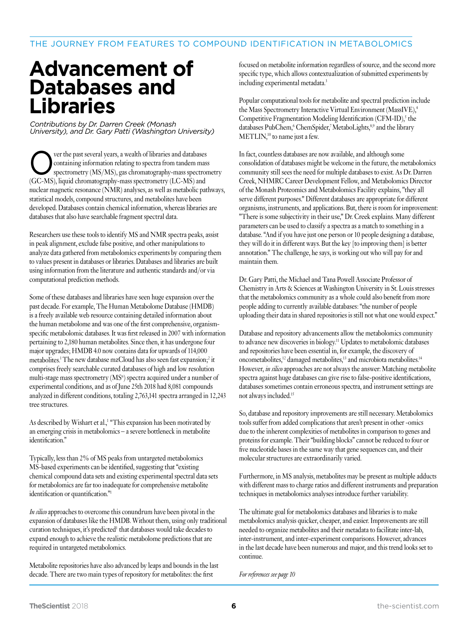## **Advancement of Databases and Libraries**

*Contributions by Dr. Darren Creek (Monash University), and Dr. Gary Patti (Washington University)*

Over the past several years, a wealth of libraries and databases<br>
spectrometry (MS/MS), gas chromatography-mass spectrom<br>
CG MS Libraries and the spectrometry (MS/MS), gas chromatography-mass spectrometry<br>
CG MS Libraries containing information relating to spectra from tandem mass spectrometry (MS/MS), gas chromatography-mass spectrometry (GC-MS), liquid chromatography-mass spectrometry (LC-MS) and nuclear magnetic resonance (NMR) analyses, as well as metabolic pathways, statistical models, compound structures, and metabolites have been developed. Databases contain chemical information, whereas libraries are databases that also have searchable fragment spectral data.

Researchers use these tools to identify MS and NMR spectra peaks, assist in peak alignment, exclude false positive, and other manipulations to analyze data gathered from metabolomics experiments by comparing them to values present in databases or libraries. Databases and libraries are built using information from the literature and authentic standards and/or via computational prediction methods.

Some of these databases and libraries have seen huge expansion over the past decade. For example, The Human Metabolome Database (HMDB) is a freely available web resource containing detailed information about the human metabolome and was one of the first comprehensive, organismspecific metabolomic databases. It was first released in 2007 with information pertaining to 2,180 human metabolites. Since then, it has undergone four major upgrades; HMDB 4.0 now contains data for upwards of 114,000 metabolites.<sup>1</sup> The new database mzCloud has also seen fast expansion;<sup>2</sup> it comprises freely searchable curated databases of high and low resolution multi-stage mass spectrometry  $(MS<sup>n</sup>)$  spectra acquired under a number of experimental conditions, and as of June 25th 2018 had 8,081 compounds analyzed in different conditions, totaling 2,763,141 spectra arranged in 12,243 tree structures.

As described by Wishart et al.,<sup>1</sup> "This expansion has been motivated by an emerging crisis in metabolomics – a severe bottleneck in metabolite identification."

Typically, less than 2% of MS peaks from untargeted metabolomics MS-based experiments can be identified, suggesting that "existing chemical compound data sets and existing experimental spectral data sets for metabolomics are far too inadequate for comprehensive metabolite identification or quantification."1

*In silico* approaches to overcome this conundrum have been pivotal in the expansion of databases like the HMDB. Without them, using only traditional curation techniques, it's predicted<sup>1</sup> that databases would take decades to expand enough to achieve the realistic metabolome predictions that are required in untargeted metabolomics.

Metabolite repositories have also advanced by leaps and bounds in the last decade. There are two main types of repository for metabolites: the first

focused on metabolite information regardless of source, and the second more specific type, which allows contextualization of submitted experiments by including experimental metadata.<sup>3</sup>

Popular computational tools for metabolite and spectral prediction include the Mass Spectrometry Interactive Virtual Environment (MassIVE),<sup>4</sup> Competitive Fragmentation Modeling Identification (CFM-ID),<sup>5</sup> the databases PubChem,<sup>6</sup> ChemSpider,<sup>7</sup> MetaboLights,<sup>8,9</sup> and the library METLIN,<sup>10</sup> to name just a few.

In fact, countless databases are now available, and although some consolidation of databases might be welcome in the future, the metabolomics community still sees the need for multiple databases to exist. As Dr. Darren Creek, NHMRC Career Development Fellow, and Metabolomics Director of the Monash Proteomics and Metabolomics Facility explains, "they all serve different purposes." Different databases are appropriate for different organisms, instruments, and applications. But, there is room for improvement: "There is some subjectivity in their use," Dr. Creek explains. Many different parameters can be used to classify a spectra as a match to something in a database. "And if you have just one person or 10 people designing a database, they will do it in different ways. But the key [to improving them] is better annotation." The challenge, he says, is working out who will pay for and maintain them.

Dr. Gary Patti, the Michael and Tana Powell Associate Professor of Chemistry in Arts & Sciences at Washington University in St. Louis stresses that the metabolomics community as a whole could also benefit from more people adding to currently available databases: "the number of people uploading their data in shared repositories is still not what one would expect."

Database and repository advancements allow the metabolomics community to advance new discoveries in biology.11 Updates to metabolomic databases and repositories have been essential in, for example, the discovery of oncometabolites,<sup>12</sup> damaged metabolites,<sup>13</sup> and microbiota metabolites.<sup>14</sup> However, *in silico* approaches are not always the answer: Matching metabolite spectra against huge databases can give rise to false-positive identifications, databases sometimes contain erroneous spectra, and instrument settings are not always included.15

So, database and repository improvements are still necessary. Metabolomics tools suffer from added complications that aren't present in other -omics due to the inherent complexities of metabolites in comparison to genes and proteins for example. Their "building blocks" cannot be reduced to four or five nucleotide bases in the same way that gene sequences can, and their molecular structures are extraordinarily varied.

Furthermore, in MS analysis, metabolites may be present as multiple adducts with different mass to charge ratios and different instruments and preparation techniques in metabolomics analyses introduce further variability.

The ultimate goal for metabolomics databases and libraries is to make metabolomics analysis quicker, cheaper, and easier. Improvements are still needed to organize metabolites and their metadata to facilitate inter-lab, inter-instrument, and inter-experiment comparisons. However, advances in the last decade have been numerous and major, and this trend looks set to continue.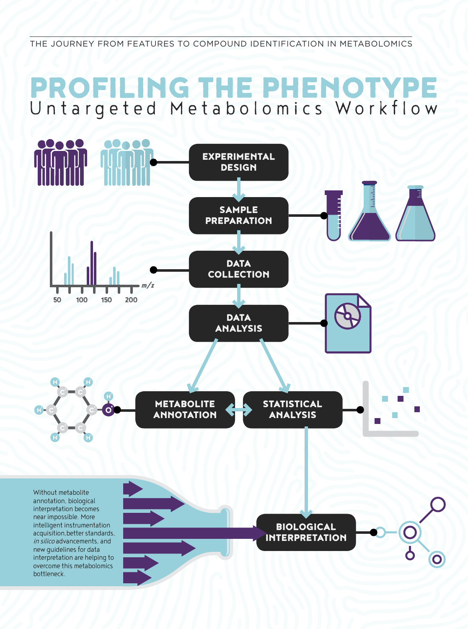THE JOURNEY FROM FEATURES TO COMPOUND IDENTIFICATION IN METABOLOMICS

# PROFILING THE PHENOTYPE Untargeted Metabolomics Workflow

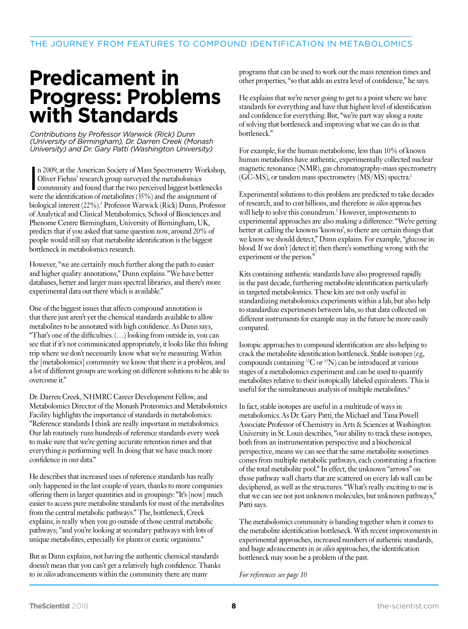## **Predicament in Progress: Problems with Standards**

*Contributions by Professor Warwick (Rick) Dunn (University of Birmingham), Dr. Darren Creek (Monash University) and Dr. Gary Patti (Washington University)*

n 2009, at the American Society of Mass Spectrometry Worksh<br>Oliver Fiehns' research group surveyed the metabolomics<br>community and found that the two perceived biggest bottleneck<br>were the identification of metabolites (35%) n 2009, at the American Society of Mass Spectrometry Workshop, Oliver Fiehns' research group surveyed the metabolomics community and found that the two perceived biggest bottlenecks biological interest (22%).<sup>1</sup> Professor Warwick (Rick) Dunn, Professor of Analytical and Clinical Metabolomics, School of Biosciences and Phenome Centre Birmingham, University of Birmingham, UK, predicts that if you asked that same question now, around 20% of people would still say that metabolite identification is the biggest bottleneck in metabolomics research.

However, "we are certainly much further along the path to easier and higher quality annotations," Dunn explains. "We have better databases, better and larger mass spectral libraries, and there's more experimental data out there which is available."

One of the biggest issues that affects compound annotation is that there just aren't yet the chemical standards available to allow metabolites to be annotated with high confidence. As Dunn says, "That's one of the difficulties. (…) looking from outside in, you can see that if it's not communicated appropriately, it looks like this fishing trip where we don't necessarily know what we're measuring. Within the [metabolomics] community we know that there is a problem, and a lot of different groups are working on different solutions to be able to overcome it."

Dr. Darren Creek, NHMRC Career Development Fellow, and Metabolomics Director of the Monash Proteomics and Metabolomics Facility highlights the importance of standards in metabolomics: "Reference standards I think are really important in metabolomics. Our lab routinely runs hundreds of reference standards every week to make sure that we're getting accurate retention times and that everything is performing well. In doing that we have much more confidence in our data."

He describes that increased uses of reference standards has really only happened in the last couple of years, thanks to more companies offering them in larger quantities and in groupings: "It's [now] much easier to access pure metabolite standards for most of the metabolites from the central metabolic pathways." The, bottleneck, Creek explains, is really when you go outside of those central metabolic pathways; "and you're looking at secondary pathways with lots of unique metabolites, especially for plants or exotic organisms."

But as Dunn explains, not having the authentic chemical standards doesn't mean that you can't get a relatively high confidence. Thanks to *in silico* advancements within the community there are many

programs that can be used to work out the mass retention times and other properties, "so that adds an extra level of confidence," he says.

He explains that we're never going to get to a point where we have standards for everything and have that highest level of identification and confidence for everything. But, "we're part way along a route of solving that bottleneck and improving what we can do in that bottleneck."

For example, for the human metabolome, less than 10% of known human metabolites have authentic, experimentally collected nuclear magnetic resonance (NMR), gas chromatography-mass spectrometry (GC-MS), or tandem mass spectrometry (MS/MS) spectra.2

Experimental solutions to this problem are predicted to take decades of research, and to cost billions, and therefore *in silico* approaches will help to solve this conundrum.<sup>3</sup> However, improvements to experimental approaches are also making a difference: "We're getting better at calling the knowns 'knowns', so there are certain things that we know we should detect," Dunn explains. For example, "glucose in blood. If we don't [detect it] then there's something wrong with the experiment or the person."

Kits containing authentic standards have also progressed rapidly in the past decade, furthering metabolite identification particularly in targeted metabolomics. These kits are not only useful in standardizing metabolomics experiments within a lab, but also help to standardize experiments between labs, so that data collected on different instruments for example may in the future be more easily compared.

Isotopic approaches to compound identification are also helping to crack the metabolite identification bottleneck. Stable isotopes (*e.g.*, compounds containing 13C or 15N) can be introduced at various stages of a metabolomics experiment and can be used to quantify metabolites relative to their isotopically labeled equivalents. This is useful for the simultaneous analysis of multiple metabolites.<sup>4</sup>

In fact, stable isotopes are useful in a multitude of ways in metabolomics. As Dr. Gary Patti, the Michael and Tana Powell Associate Professor of Chemistry in Arts & Sciences at Washington University in St. Louis describes, "our ability to track these isotopes, both from an instrumentation perspective and a biochemical perspective, means we can see that the same metabolite sometimes comes from multiple metabolic pathways, each constituting a fraction of the total metabolite pool." In effect, the unknown "arrows" on those pathway wall charts that are scattered on every lab wall can be deciphered, as well as the structures. "What's really exciting to me is that we can see not just unknown molecules, but unknown pathways," Patti says.

The metabolomics community is banding together when it comes to the metabolite identification bottleneck. With recent improvements in experimental approaches, increased numbers of authentic standards, and huge advancements in *in silico* approaches, the identification bottleneck may soon be a problem of the past.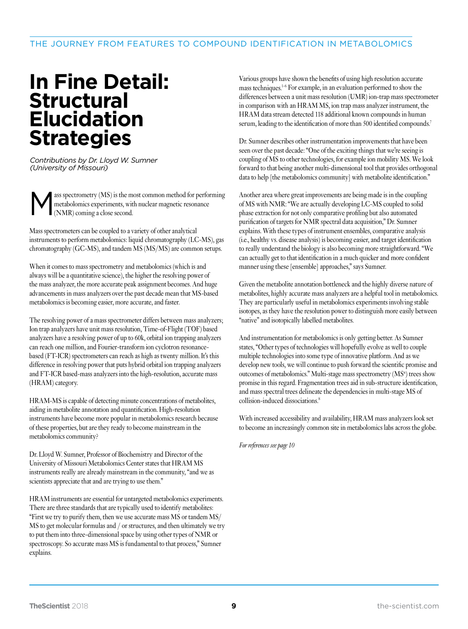#### THE JOURNEY FROM FEATURES TO COMPOUND IDENTIFICATION IN METABOLOMICS

### **In Fine Detail: Structural Elucidation Strategies**

*Contributions by Dr. Lloyd W. Sumner (University of Missouri)*

Ass spectrometry (MS) is the most common method for performing<br>metabolomics experiments, with nuclear magnetic resonance<br>(NMR) coming a close second. metabolomics experiments, with nuclear magnetic resonance (NMR) coming a close second.

Mass spectrometers can be coupled to a variety of other analytical instruments to perform metabolomics: liquid chromatography (LC-MS), gas chromatography (GC-MS), and tandem MS (MS/MS) are common setups.

When it comes to mass spectrometry and metabolomics (which is and always will be a quantitative science), the higher the resolving power of the mass analyzer, the more accurate peak assignment becomes. And huge advancements in mass analyzers over the past decade mean that MS-based metabolomics is becoming easier, more accurate, and faster.

The resolving power of a mass spectrometer differs between mass analyzers; Ion trap analyzers have unit mass resolution, Time-of-Flight (TOF) based analyzers have a resolving power of up to 60k, orbital ion trapping analyzers can reach one million, and Fourier-transform ion cyclotron resonancebased (FT-ICR) spectrometers can reach as high as twenty million. It's this difference in resolving power that puts hybrid orbital ion trapping analyzers and FT-ICR based-mass analyzers into the high-resolution, accurate mass (HRAM) category.

HRAM-MS is capable of detecting minute concentrations of metabolites, aiding in metabolite annotation and quantification. High-resolution instruments have become more popular in metabolomics research because of these properties, but are they ready to become mainstream in the metabolomics community?

Dr. Lloyd W. Sumner, Professor of Biochemistry and Director of the University of Missouri Metabolomics Center states that HRAM MS instruments really are already mainstream in the community, "and we as scientists appreciate that and are trying to use them."

HRAM instruments are essential for untargeted metabolomics experiments. There are three standards that are typically used to identify metabolites: "First we try to purify them, then we use accurate mass MS or tandem MS/ MS to get molecular formulas and / or structures, and then ultimately we try to put them into three-dimensional space by using other types of NMR or spectroscopy. So accurate mass MS is fundamental to that process," Sumner explains.

Various groups have shown the benefits of using high resolution accurate mass techniques.<sup>1-6</sup> For example, in an evaluation performed to show the differences between a unit mass resolution (UMR) ion-trap mass spectrometer in comparison with an HRAM MS, ion trap mass analyzer instrument, the HRAM data stream detected 118 additional known compounds in human serum, leading to the identification of more than 500 identified compounds.<sup>7</sup>

Dr. Sumner describes other instrumentation improvements that have been seen over the past decade: "One of the exciting things that we're seeing is coupling of MS to other technologies, for example ion mobility MS. We look forward to that being another multi-dimensional tool that provides orthogonal data to help [the metabolomics community] with metabolite identification."

Another area where great improvements are being made is in the coupling of MS with NMR: "We are actually developing LC-MS coupled to solid phase extraction for not only comparative profiling but also automated purification of targets for NMR spectral data acquisition," Dr. Sumner explains. With these types of instrument ensembles, comparative analysis (i.e., healthy vs. disease analysis) is becoming easier, and target identification to really understand the biology is also becoming more straightforward. "We can actually get to that identification in a much quicker and more confident manner using these [ensemble] approaches," says Sumner.

Given the metabolite annotation bottleneck and the highly diverse nature of metabolites, highly accurate mass analyzers are a helpful tool in metabolomics. They are particularly useful in metabolomics experiments involving stable isotopes, as they have the resolution power to distinguish more easily between "native" and isotopically labelled metabolites.

And instrumentation for metabolomics is only getting better. As Sumner states, "Other types of technologies will hopefully evolve as well to couple multiple technologies into some type of innovative platform. And as we develop new tools, we will continue to push forward the scientific promise and outcomes of metabolomics." Multi-stage mass spectrometry  $(MS<sup>n</sup>)$  trees show promise in this regard. Fragmentation trees aid in sub-structure identification, and mass spectral trees delineate the dependencies in multi-stage MS of collision-induced dissociations.<sup>8</sup>

With increased accessibility and availability, HRAM mass analyzers look set to become an increasingly common site in metabolomics labs across the globe.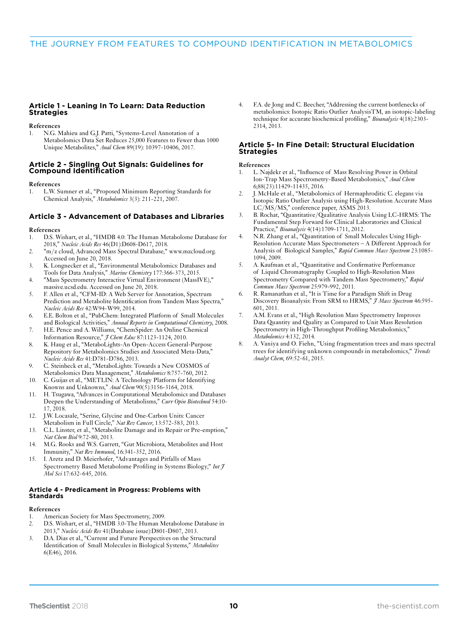#### **Article 1 - Leaning In To Learn: Data Reduction Strategies**

**References**

1. N.G. Mahieu and G.J. Patti, "Systems-Level Annotation of a Metabolomics Data Set Reduces 25,000 Features to Fewer than 1000 Unique Metabolites," *Anal Chem* 89(19): 10397-10406, 2017.

#### **Article 2 - Singling Out Signals: Guidelines for Compound Identification**

**References**

1. L.W. Sumner et al., "Proposed Minimum Reporting Standards for Chemical Analysis," *Metabolomics* 3(3): 211-221, 2007.

#### **Article 3 - Advancement of Databases and Libraries**

**References**

- 1. D.S. Wishart, et al., "HMDB 4.0: The Human Metabolome Database for 2018," *Nucleic Acids Res* 46(D1):D608-D617, 2018.
- 2. "m/z cloud, Advanced Mass Spectral Database," www.mzcloud.org. Accessed on June 20, 2018.
- 3. K. Longnecker et al., "Environmental Metabolomics: Databases and Tools for Data Analysis," *Marine Chemistry* 177:366-373, 2015.
- "Mass Spectrometry Interactive Virtual Environment (MassIVE)," massive.ucsd.edu. Accessed on June 20, 2018.
- 5. F. Allen et al., "CFM-ID: A Web Server for Annotation, Spectrum Prediction and Metabolite Identification from Tandem Mass Spectra," *Nucleic Acids Res* 42:W94-W99, 2014.
- 6. E.E. Bolton et al., "PubChem: Integrated Platform of Small Molecules and Biological Activities," *Annual Reports in Computational Chemistry*, 2008.
- 7. H.E. Pence and A. Williams, "ChemSpider: An Online Chemical Information Resource," *J Chem Educ* 87:1123-1124, 2010.
- 8. K. Haug et al., "MetaboLights-An Open-Access General-Purpose Repository for Metabolomics Studies and Associated Meta-Data," *Nucleic Acids Res* 41:D781-D786, 2013.
- 9. C. Steinbeck et al., "MetaboLights: Towards a New COSMOS of Metabolomics Data Management," *Metabolomics* 8:757-760, 2012.
- 10. C. Guijas et al., "METLIN: A Technology Platform for Identifying Knowns and Unknowns," *Anal Chem* 90(5):3156-3164, 2018.
- 11. H. Tsugawa, "Advances in Computational Metabolomics and Databases Deepen the Understanding of Metabolisms," *Curr Opin Biotechnol* 54:10- 17, 2018.
- 12. J.W. Locasale, "Serine, Glycine and One-Carbon Units: Cancer Metabolism in Full Circle," *Nat Rev Cancer*, 13:572-583, 2013.
- 13. C.L. Linster, et al., "Metabolite Damage and its Repair or Pre-emption," *Nat Chem Biol* 9:72-80, 2013.
- 14. M.G. Rooks and W.S. Garrett, "Gut Microbiota, Metabolites and Host Immunity," *Nat Rev Immunol*, 16:341-352, 2016.
- 15. I. Aretz and D. Meierhofer, "Advantages and Pitfalls of Mass Spectrometry Based Metabolome Profiling in Systems Biology," *Int J Mol Sci* 17:632-645, 2016.

#### **Article 4 - Predicament in Progress: Problems with Standards**

#### **References**

- 1. American Society for Mass Spectrometry, 2009.
- 2. D.S. Wishart, et al., "HMDB 3.0-The Human Metabolome Database in 2013," *Nucleic Acids Res* 41(Database issue):D801-D807, 2013.
- 3. D.A. Dias et al., "Current and Future Perspectives on the Structural Identification of Small Molecules in Biological Systems," *Metabolites* 6(E46), 2016.

4. F.A. de Jong and C. Beecher, "Addressing the current bottlenecks of metabolomics: Isotopic Ratio Outlier AnalysisTM, an isotopic-labeling technique for accurate biochemical profiling," *Bioanalysis* 4(18):2303- 2314, 2013.

#### **Article 5- In Fine Detail: Structural Elucidation Strategies**

#### **References**

- 1. L. Najdekr et al., "Influence of Mass Resolving Power in Orbital Ion-Trap Mass Spectrometry-Based Metabolomics," *Anal Chem* 6;88(23):11429-11435, 2016.
- 2. J. McHale et al., "Metabolomics of Hermaphroditic C. elegans via Isotopic Ratio Outlier Analysis using High-Resolution Accurate Mass LC/MS/MS," conference paper, ASMS 2013.
- 3. B. Rochat, "Quantitative/Qualitative Analysis Using LC-HRMS: The Fundamental Step Forward for Clinical Laboratories and Clinical Practice," *Bioanalysis* 4(14):1709-1711, 2012.
- 4. N.R. Zhang et al., "Quantitation of Small Molecules Using High-Resolution Accurate Mass Spectrometers – A Different Approach for Analysis of Biological Samples," *Rapid Commun Mass Spectrom* 23:1085- 1094, 2009.
- 5. A. Kaufman et al., "Quantitative and Confirmative Performance of Liquid Chromatography Coupled to High-Resolution Mass Spectrometry Compared with Tandem Mass Spectrometry," *Rapid Commun Mass Spectrom* 25:979-992, 2011.
- 6. R. Ramanathan et al., "It is Time for a Paradigm Shift in Drug Discovery Bioanalysis: From SRM to HRMS," *J Mass Spectrom* 46:595- 601, 2011.
- 7. A.M. Evans et al., "High Resolution Mass Spectrometry Improves Data Quantity and Quality as Compared to Unit Mass Resolution Spectrometry in High-Throughput Profiling Metabolomics," *Metabolomics* 4:132, 2014.
- 8. A. Vaniya and O. Fiehn, "Using fragmentation trees and mass spectral trees for identifying unknown compounds in metabolomics," *Trends Analyt Chem*, 69:52-61, 2015.